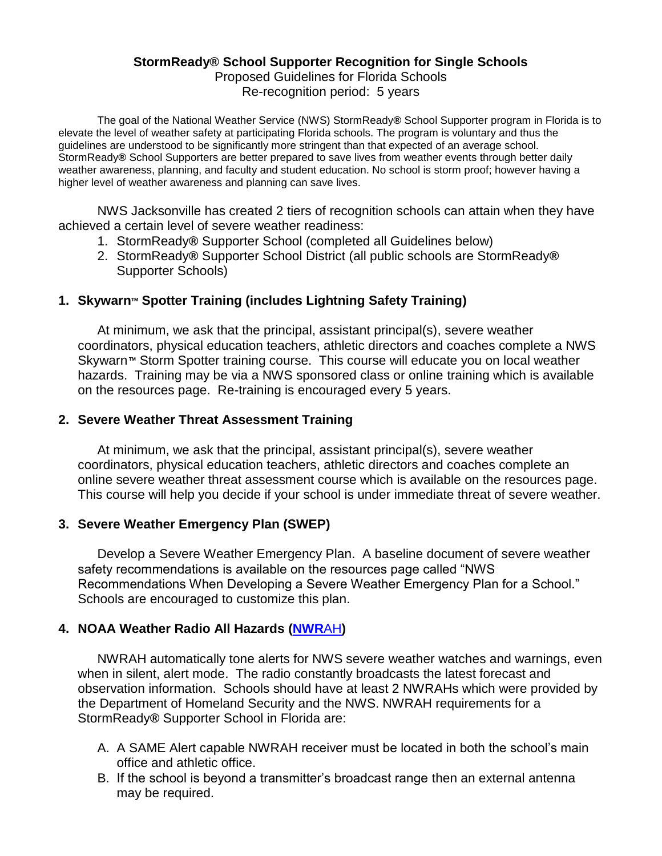# **StormReady® School Supporter Recognition for Single Schools**

Proposed Guidelines for Florida Schools Re-recognition period: 5 years

The goal of the National Weather Service (NWS) StormReady**®** School Supporter program in Florida is to elevate the level of weather safety at participating Florida schools. The program is voluntary and thus the guidelines are understood to be significantly more stringent than that expected of an average school. StormReady**®** School Supporters are better prepared to save lives from weather events through better daily weather awareness, planning, and faculty and student education. No school is storm proof; however having a higher level of weather awareness and planning can save lives.

NWS Jacksonville has created 2 tiers of recognition schools can attain when they have achieved a certain level of severe weather readiness:

- 1. StormReady**®** Supporter School (completed all Guidelines below)
- 2. StormReady**®** Supporter School District (all public schools are StormReady**®**  Supporter Schools)

# **1.** Skywarn™ Spotter Training (includes Lightning Safety Training)

At minimum, we ask that the principal, assistant principal(s), severe weather coordinators, physical education teachers, athletic directors and coaches complete a NWS Skywarn<sup>™</sup> Storm Spotter training course. This course will educate you on local weather hazards. Training may be via a NWS sponsored class or online training which is available on the resources page. Re-training is encouraged every 5 years.

#### **2. Severe Weather Threat Assessment Training**

At minimum, we ask that the principal, assistant principal(s), severe weather coordinators, physical education teachers, athletic directors and coaches complete an online severe weather threat assessment course which is available on the resources page. This course will help you decide if your school is under immediate threat of severe weather.

# **3. Severe Weather Emergency Plan (SWEP)**

Develop a Severe Weather Emergency Plan. A baseline document of severe weather safety recommendations is available on the resources page called "NWS Recommendations When Developing a Severe Weather Emergency Plan for a School." Schools are encouraged to customize this plan.

# **4. NOAA Weather Radio All Hazards [\(NWR](http://www.weather.gov/nwr/)**AH**)**

NWRAH automatically tone alerts for NWS severe weather watches and warnings, even when in silent, alert mode. The radio constantly broadcasts the latest forecast and observation information. Schools should have at least 2 NWRAHs which were provided by the Department of Homeland Security and the NWS. NWRAH requirements for a StormReady**®** Supporter School in Florida are:

- A. A SAME Alert capable NWRAH receiver must be located in both the school's main office and athletic office.
- B. If the school is beyond a transmitter's broadcast range then an external antenna may be required.